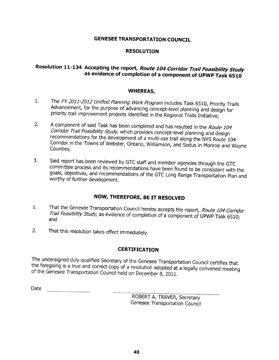### **GENESEE TRANSPORTATION COUNCIL**

#### **RESOLUTION**

## Resolution 11-134 Accepting the report, Route 104 Corridor Trail Feasibility Study as evidence of completion of a component of UPWP Task 6510

#### **WHEREAS,**

- $1.$ The FY 2011-2012 Unified Planning Work Program includes Task 6510, Priority Trails Advancement, for the purpose of advancing concept-level planning and design for priority trail improvement projects identified in the Regional Trails Initiative;
- A component of said Task has been completed and has resulted in the Route 104  $2.$ Corridor Trail Feasibility Study, which provides concept-level planning and design recommendations for the development of a multi-use trail along the NYS Route 104 Corridor in the Towns of Webster, Ontario, Williamson, and Sodus in Monroe and Wayne Counties:
- $3.$ Said report has been reviewed by GTC staff and member agencies through the GTC committee process and its recommendations have been found to be consistent with the goals, objectives, and recommendations of the GTC Long Range Transportation Plan and worthy of further development.

### NOW, THEREFORE, BE IT RESOLVED

- That the Genesee Transportation Council hereby accepts the report, Route 104 Corridor  $1.$ Trail Feasibility Study, as evidence of completion of a component of UPWP Task 6510; and
- $2.$ That this resolution takes effect immediately.

### **CERTIFICATION**

The undersigned duly qualified Secretary of the Genesee Transportation Council certifies that the foregoing is a true and correct copy of a resolution adopted at a legally convened meeting of the Genesee Transportation Council held on December 8, 2011.

Date

ROBERT A. TRAVER, Secretary Genesee Transportation Council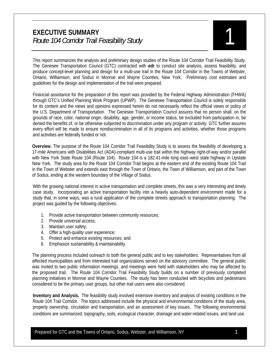This report summarizes the analysis and preliminary design studies of the Route 104 Corridor Trail Feasibility Study. The Genesee Transportation Council (GTC) contracted with **edr** to conduct site analysis, assess feasibility, and produce concept-level planning and design for a multi-use trail in the Route 104 Corridor in the Towns of Webster, Ontario, Williamson, and Sodus in Monroe and Wayne Counties, New York. Preliminary cost estimates and guidelines for the design and implementation of the trail were prepared.

Financial assistance for the preparation of this report was provided by the Federal Highway Administration (FHWA) through GTC's Unified Planning Work Program (UPWP). The Genesee Transportation Council is solely responsible for its content and the views and opinions expressed herein do not necessarily reflect the official views or policy of the U.S. Department of Transportation. The Genesee Transportation Council assures that no person shall, on the grounds of race, color, national origin, disability, age, gender, or income status, be excluded from participation in, be denied the benefits of, or be otherwise subjected to discrimination under any program or activity. GTC further assures every effort will be made to ensure nondiscrimination in all of its programs and activities, whether those programs and activities are federally funded or not.

**Overview.** The purpose of the Route 104 Corridor Trail Feasibility Study is to assess the feasibility of developing a 17-mile Americans with Disabilities Act (ADA)-compliant multi-use trail within the highway right-of-way and/or parallel with New York State Route 104 (Route 104). Route 104 is a 182.41-mile long east–west state highway in Upstate New York. The study area for the Route 104 Corridor Trail begins at the eastern end of the existing Route 104 Trail in the Town of Webster and extends east through the Town of Ontario, the Town of Williamson, and part of the Town of Sodus, ending at the western boundary of the Village of Sodus.

With the growing national interest in active transportation and complete streets, this was a very interesting and timely case study. Incorporating an active transportation facility into a heavily auto-dependent environment made for a study that, in some ways, was a rural application of the complete streets approach to transportation planning. The project was guided by the following objectives:

- 1. Provide active transportation between community resources;
- 2. Provide universal access;
- 3. Maintain user safety;
- 4. Offer a high-quality user experience;
- 5. Protect and enhance existing resources; and
- 6. Emphasize sustainability & maintainability.

The planning process included outreach to both the general public and to key stakeholders. Representatives from all affected municipalities and from interested trail organizations served on the advisory committee. The general public was invited to two public information meetings, and meetings were held with stakeholders who may be affected by the proposed trail. The Route 104 Corridor Trail Feasibility Study builds on a number of previously completed planning initiatives in Monroe and Wayne Counties. The study has been conducted with bicyclists and pedestrians considered to be the primary user groups, but other trail users were also considered.

**Inventory and Analysis.** The feasibility study involved extensive inventory and analysis of existing conditions in the Route 104 Trail Corridor. The topics addressed include the physical and environmental conditions of the study area, property ownership, circulation and transportation, and an assessment of key issues. The following environmental conditions are summarized: topography, soils, ecological character, drainage and water-related issues, and land use.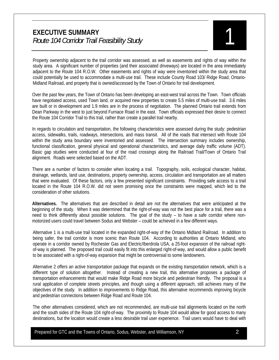Property ownership adjacent to the trail corridor was assessed, as well as easements and rights of way within the study area. A significant number of properties (and their associated driveways) are located in the area immediately adjacent to the Route 104 R.O.W. Other easements and rights of way were inventoried within the study area that could potentially be used to accommodate a multi-use trail. These include County Road 103/ Ridge Road, Ontario-Midland Railroad, and property that is owned/accessed by the Town of Ontario for trail development.

Over the past few years, the Town of Ontario has been developing an east-west trail across the Town. Town officials have negotiated access, used Town land, or acquired new properties to create 5.5 miles of multi-use trail. 3.6 miles are built or in development and 1.9 miles are in the process of negotiation. The planned Ontario trail extends from Dean Parkway in the west to just beyond Furnace Road in the east. Town officials expressed their desire to connect the Route 104 Corridor Trail to this trail, rather than create a parallel trail nearby.

In regards to circulation and transportation, the following characteristics were assessed during the study: pedestrian access, sidewalks, trails, roadways, intersections, and mass transit. All of the roads that intersect with Route 104 within the study area boundary were inventoried and assessed. The intersection summary includes ownership, functional classification, general physical and operational characteristics, and average daily traffic volume (ADT). Basic gap studies were conducted at four of the road crossings along the Railroad Trail/Town of Ontario Trail alignment. Roads were selected based on the ADT.

There are a number of factors to consider when locating a trail. Topography, soils, ecological character, habitat, drainage, wetlands, land use, destinations, property ownership, access, circulation and transportation are all matters that were evaluated. Of these factors, only a few presented significant constraints. Providing safe access to a trail located in the Route 104 R.O.W. did not seem promising once the constraints were mapped, which led to the consideration of other solutions.

**Alternatives.** The alternatives that are described in detail are not the alternatives that were anticipated at the beginning of the study. When it was determined that the right-of-way was not the best place for a trail, there was a need to think differently about possible solutions. The goal of the study – to have a safe corridor where nonmotorized users could travel between Sodus and Webster – could be achieved in a few different ways.

Alternative 1 is a multi-use trail located in the expanded right-of-way of the Ontario Midland Railroad. In addition to being safer, the trail corridor is more scenic than Route 104. According to authorities at Ontario Midland, who operate in a corridor owned by Rochester Gas and Electric/Iberdrola USA, a 25-foot expansion of the railroad rightof-way is planned. The proposed trail could easily fit into this enlarged right-of-way, and would allow a public benefit to be associated with a right-of-way expansion that might be controversial to some landowners.

Alternative 2 offers an active transportation package that expands on the existing transportation network, which is a different type of solution altogether. Instead of creating a new trail, this alternative proposes a package of transportation enhancements that would make Ridge Road more bicycle and pedestrian friendly. The proposal is a rural application of complete streets principles, and though using a different approach, still achieves many of the objectives of the study. In addition to improvements to Ridge Road, this alternative recommends improving bicycle and pedestrian connections between Ridge Road and Route 104.

The other alternatives considered, which are not recommended, are multi-use trail alignments located on the north and the south sides of the Route 104 right-of-way. The proximity to Route 104 would allow for good access to many destinations, but the location would create a less desirable trail user experience. Trail users would have to deal with

Prepared for GTC and the Towns of Ontario, Sodus, Webster, and Williamson, NY 2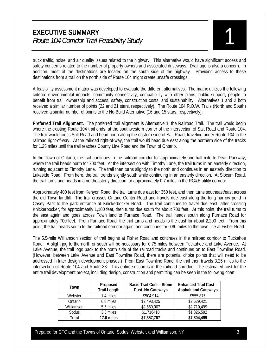truck traffic, noise, and air quality issues related to the highway. This alternative would have significant access and safety concerns related to the number of property owners and associated driveways. Drainage is also a concern. In addition, most of the destinations are located on the south side of the highway. Providing access to these destinations from a trail on the north side of Route 104 might create unsafe crossings.

A feasibility assessment matrix was developed to evaluate the different alternatives. The matrix utilizes the following criteria: environmental impacts, community connectivity, compatibility with other plans, public support, people to benefit from trail, ownership and access, safety, construction costs, and sustainability. Alternatives 1 and 2 both received a similar number of points (22 and 21 stars, respectively). The Route 104 R.O.W. Trails (North and South) received a similar number of points to the No-Build Alternative (16 and 15 stars, respectively).

**Preferred Trail Alignment.** The preferred trail alignment is Alternative 1, the Railroad Trail. The trail would begin where the existing Route 104 trail ends, at the southwestern corner of the intersection of Salt Road and Route 104. The trail would cross Salt Road and head north along the eastern side of Salt Road, traveling under Route 104 to the railroad right-of-way. At the railroad right-of-way, the trail would head due east along the northern side of the tracks for 1.25 miles until the trail reaches County Line Road and the Town of Ontario.

In the Town of Ontario, the trail continues in the railroad corridor for approximately one-half mile to Dean Parkway, where the trail heads north for 700 feet. At the intersection with Timothy Lane, the trail turns in an easterly direction, running adjacent to Timothy Lane. The trail then turns slightly to the north and continues in an easterly direction to Lakeside Road. From here, the trail trends slightly south while continuing in an easterly direction. At Slocum Road, the trail turns and heads in a northeasterly direction for approximately 0.7 miles in the RG&E utility corridor.

Approximately 400 feet from Kenyon Road, the trail turns due east for 350 feet, and then turns southeast/east across the old Town landfill. The trail crosses Ontario Center Road and travels due east along the long narrow pond in Casey Park to the park entrance at Knickerbocker Road. The trail continues to travel due east, after crossing Knickerbocker, for approximately 1,100 feet, then turns due south for about 700 feet. At this point, the trail turns to the east again and goes across Town land to Furnace Road. The trail heads south along Furnace Road for approximately 700 feet. From Furnace Road, the trail turns and heads to the east for about 2,200 feet. From this point, the trail heads south to the railroad corridor again, and continues for 0.80 miles to the town line at Fisher Road.

The 5.5-mile Williamson section of trail begins at Fisher Road and continues in the railroad corridor to Tuckahoe Road. A slight jog to the north or south will be necessary for 0.75 miles between Tuckahoe and Lake Avenue. At Lake Avenue, the trail jogs back to the north side of the railroad tracks and continues on to East Townline Road. (However, between Lake Avenue and East Townline Road, there are potential choke points that will need to be addressed in later design development phases.) From East Townline Road, the trail then travels 3.25 miles to the intersection of Route 104 and Route 88. This entire section is in the railroad corridor. The estimated cost for the entire trail development project, including design, construction and permitting can be seen in the following chart.

| Town       | Proposed<br><b>Trail Length</b> | <b>Basic Trail Cost - Stone</b><br>Dust, No Gateways | <b>Enhanced Trail Cost -</b><br><b>Asphalt and Gateways</b> |
|------------|---------------------------------|------------------------------------------------------|-------------------------------------------------------------|
| Webster    | 1.4 miles                       | \$504,914                                            | \$555,876                                                   |
| Ontario    | 6.8 miles                       | \$2,493,425                                          | \$2,629,421                                                 |
| Williamson | 5.5 miles                       | \$2,560,907                                          | \$2,710,499                                                 |
| Sodus      | 3.3 miles                       | \$1,716410                                           | \$1,826,592                                                 |
| Total      | 17.0 miles                      | \$7,357,767                                          | \$7,804,499                                                 |

Prepared for GTC and the Towns of Ontario, Sodus, Webster, and Williamson, NY 3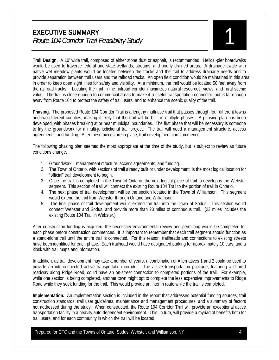**Trail Design.** A 10' wide trail, composed of either stone dust or asphalt, is recommended. Helical-pier boardwalks would be used to traverse federal and state wetlands, streams, and poorly drained areas. A drainage swale with native wet meadow plants would be located between the tracks and the trail to address drainage needs and to provide separation between trail users and the railroad tracks. An open field condition would be maintained in this area in order to keep open sight lines for safety and visibility. At a minimum, the trail would be located 50 feet away from the railroad tracks. Locating the trail in the railroad corridor maximizes natural resources, views, and rural scenic value. The trail is close enough to commercial areas to make it a useful transportation connector, but is far enough away from Route 104 to protect the safety of trail users, and to enhance the scenic quality of the trail.

**Phasing.** The proposed Route 104 Corridor Trail is a lengthy multi-use trail that passes through four different towns and two different counties, making it likely that the trail will be built in multiple phases. A phasing plan has been developed, with phases breaking at or near municipal boundaries. The first phase that will be necessary is someone to lay the groundwork for a multi-jurisdictional trail project. The trail will need a management structure, access agreements, and funding. After these pieces are in place, trail development can commence.

The following phasing plan seemed the most appropriate at the time of the study, but is subject to review as future conditions change.

- 1. Groundwork management structure, access agreements, and funding.
- 2. The Town of Ontario, with sections of trail already built or under development, is the most logical location for "official" trail development to begin.
- 3. Once the trail is completed in the Town of Ontario, the next logical piece of trail to develop is the Webster segment. This section of trail will connect the existing Route 104 Trail to the portion of trail in Ontario.
- 4. The next phase of trail development will be the section located in the Town of Williamson. This segment would extend the trail from Webster through Ontario and Williamson.
- 5. The final phase of trail development would extend the trail into the Town of Sodus. This section would connect Webster and Sodus, and provide more than 23 miles of continuous trail. (23 miles includes the existing Route 104 Trail in Webster.)

After construction funding is acquired, the necessary environmental review and permitting would be completed for each phase before construction commences. It is important to remember that each trail segment should function as a stand-alone trail until the entire trail is connected. For this reason, trailheads and connections to existing streets have been identified for each phase. Each trailhead would have designated parking for approximately 10 cars, and a kiosk with trail maps and information.

In addition, as trail development may take a number of years, a combination of Alternatives 1 and 2 could be used to provide an interconnected active transportation corridor. The active transportation package, featuring a shared roadway along Ridge Road, could have an on-street connection to completed portions of the trail. For example, while one section is being completed, another town might opt to complete the less expensive improvements to Ridge Road while they seek funding for the trail. This would provide an interim route while the trail is completed.

**Implementation.** An implementation section is included in the report that addresses potential funding sources, trail construction standards, trail user guidelines, maintenance and management procedures, and a summary of factors not addressed during the study. When constructed, the Route 104 Corridor Trail will provide an exceptional active transportation facility in a heavily auto-dependent environment. This, in turn, will provide a myriad of benefits both for trail users, and for each community in which the trail will be located.

Prepared for GTC and the Towns of Ontario, Sodus, Webster, and Williamson, NY 4